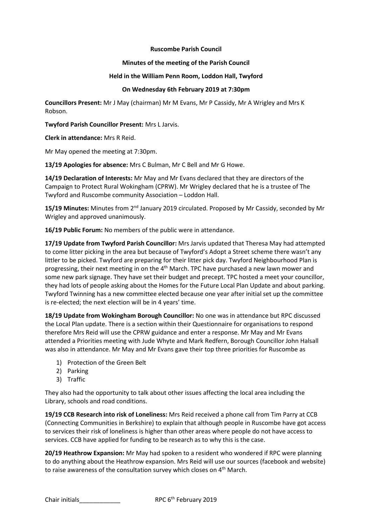## **Ruscombe Parish Council**

## **Minutes of the meeting of the Parish Council**

## **Held in the William Penn Room, Loddon Hall, Twyford**

## **On Wednesday 6th February 2019 at 7:30pm**

**Councillors Present:** Mr J May (chairman) Mr M Evans, Mr P Cassidy, Mr A Wrigley and Mrs K Robson.

**Twyford Parish Councillor Present:** Mrs L Jarvis.

**Clerk in attendance:** Mrs R Reid.

Mr May opened the meeting at 7:30pm.

**13/19 Apologies for absence:** Mrs C Bulman, Mr C Bell and Mr G Howe.

**14/19 Declaration of Interests:** Mr May and Mr Evans declared that they are directors of the Campaign to Protect Rural Wokingham (CPRW). Mr Wrigley declared that he is a trustee of The Twyford and Ruscombe community Association – Loddon Hall.

15/19 Minutes: Minutes from 2<sup>nd</sup> January 2019 circulated. Proposed by Mr Cassidy, seconded by Mr Wrigley and approved unanimously.

**16/19 Public Forum:** No members of the public were in attendance.

**17/19 Update from Twyford Parish Councillor:** Mrs Jarvis updated that Theresa May had attempted to come litter picking in the area but because of Twyford's Adopt a Street scheme there wasn't any littler to be picked. Twyford are preparing for their litter pick day. Twyford Neighbourhood Plan is progressing, their next meeting in on the  $4<sup>th</sup>$  March. TPC have purchased a new lawn mower and some new park signage. They have set their budget and precept. TPC hosted a meet your councillor, they had lots of people asking about the Homes for the Future Local Plan Update and about parking. Twyford Twinning has a new committee elected because one year after initial set up the committee is re-elected; the next election will be in 4 years' time.

**18/19 Update from Wokingham Borough Councillor:** No one was in attendance but RPC discussed the Local Plan update. There is a section within their Questionnaire for organisations to respond therefore Mrs Reid will use the CPRW guidance and enter a response. Mr May and Mr Evans attended a Priorities meeting with Jude Whyte and Mark Redfern, Borough Councillor John Halsall was also in attendance. Mr May and Mr Evans gave their top three priorities for Ruscombe as

- 1) Protection of the Green Belt
- 2) Parking
- 3) Traffic

They also had the opportunity to talk about other issues affecting the local area including the Library, schools and road conditions.

**19/19 CCB Research into risk of Loneliness:** Mrs Reid received a phone call from Tim Parry at CCB (Connecting Communities in Berkshire) to explain that although people in Ruscombe have got access to services their risk of loneliness is higher than other areas where people do not have access to services. CCB have applied for funding to be research as to why this is the case.

**20/19 Heathrow Expansion:** Mr May had spoken to a resident who wondered if RPC were planning to do anything about the Heathrow expansion. Mrs Reid will use our sources (facebook and website) to raise awareness of the consultation survey which closes on  $4<sup>th</sup>$  March.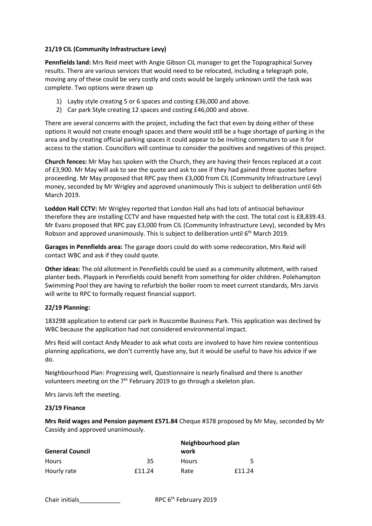# **21/19 CIL (Community Infrastructure Levy)**

**Pennfields land:** Mrs Reid meet with Angie Gibson CIL manager to get the Topographical Survey results. There are various services that would need to be relocated, including a telegraph pole, moving any of these could be very costly and costs would be largely unknown until the task was complete. Two options were drawn up

- 1) Layby style creating 5 or 6 spaces and costing £36,000 and above.
- 2) Car park Style creating 12 spaces and costing £46,000 and above.

There are several concerns with the project, including the fact that even by doing either of these options it would not create enough spaces and there would still be a huge shortage of parking in the area and by creating official parking spaces it could appear to be inviting commuters to use it for access to the station. Councillors will continue to consider the positives and negatives of this project.

**Church fences:** Mr May has spoken with the Church, they are having their fences replaced at a cost of £3,900. Mr May will ask to see the quote and ask to see if they had gained three quotes before proceeding. Mr May proposed that RPC pay them £3,000 from CIL (Community Infrastructure Levy) money, seconded by Mr Wrigley and approved unanimously This is subject to deliberation until 6th March 2019.

**Loddon Hall CCTV:** Mr Wrigley reported that London Hall ahs had lots of antisocial behaviour therefore they are installing CCTV and have requested help with the cost. The total cost is £8,839.43. Mr Evans proposed that RPC pay £3,000 from CIL (Community Infrastructure Levy), seconded by Mrs Robson and approved unanimously. This is subject to deliberation until  $6<sup>th</sup>$  March 2019.

**Garages in Pennfields area:** The garage doors could do with some redecoration, Mrs Reid will contact WBC and ask if they could quote.

**Other ideas:** The old allotment in Pennfields could be used as a community allotment, with raised planter beds. Playpark in Pennfields could benefit from something for older children. Polehampton Swimming Pool they are having to refurbish the boiler room to meet current standards, Mrs Jarvis will write to RPC to formally request financial support.

## **22/19 Planning:**

183298 application to extend car park in Ruscombe Business Park. This application was declined by WBC because the application had not considered environmental impact.

Mrs Reid will contact Andy Meader to ask what costs are involved to have him review contentious planning applications, we don't currently have any, but it would be useful to have his advice if we do.

Neighbourhood Plan: Progressing well, Questionnaire is nearly finalised and there is another volunteers meeting on the  $7<sup>th</sup>$  February 2019 to go through a skeleton plan.

Mrs Jarvis left the meeting.

## **23/19 Finance**

**Mrs Reid wages and Pension payment £571.84** Cheque #378 proposed by Mr May, seconded by Mr Cassidy and approved unanimously.

| <b>General Council</b> |        | Neighbourhood plan<br>work |        |
|------------------------|--------|----------------------------|--------|
| Hours                  | 35     | <b>Hours</b>               |        |
| Hourly rate            | £11.24 | Rate                       | £11.24 |